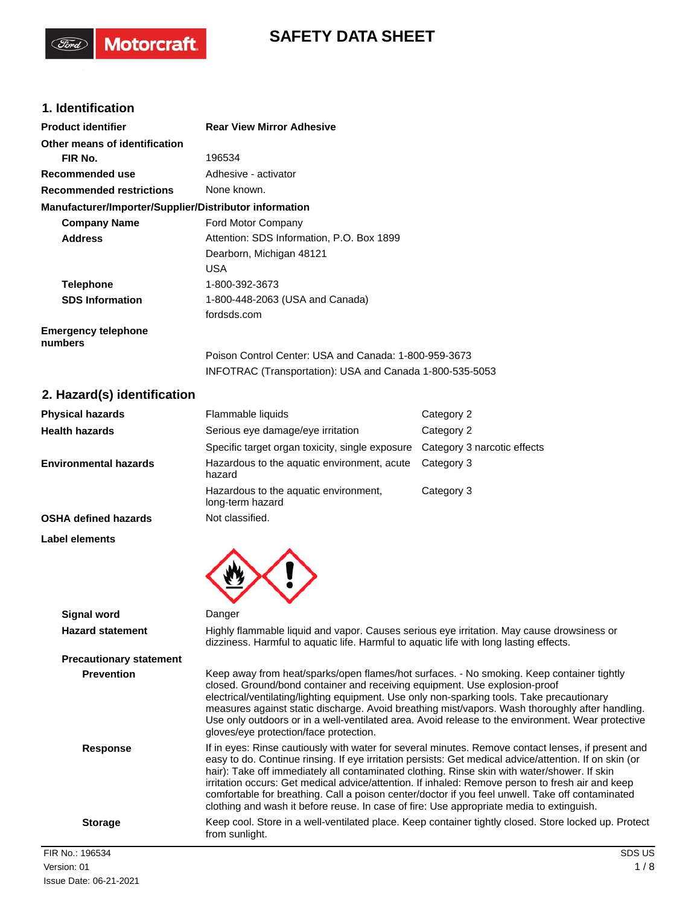# **SAFETY DATA SHEET**

# **1. Identification**

(Ford)

Motorcraft.

| <b>Product identifier</b>                              | <b>Rear View Mirror Adhesive</b>                         |
|--------------------------------------------------------|----------------------------------------------------------|
| Other means of identification                          |                                                          |
| FIR No.                                                | 196534                                                   |
| Recommended use                                        | Adhesive - activator                                     |
| <b>Recommended restrictions</b>                        | None known.                                              |
| Manufacturer/Importer/Supplier/Distributor information |                                                          |
| <b>Company Name</b>                                    | Ford Motor Company                                       |
| <b>Address</b>                                         | Attention: SDS Information, P.O. Box 1899                |
|                                                        | Dearborn, Michigan 48121                                 |
|                                                        | <b>USA</b>                                               |
| <b>Telephone</b>                                       | 1-800-392-3673                                           |
| <b>SDS Information</b>                                 | 1-800-448-2063 (USA and Canada)                          |
|                                                        | fordsds.com                                              |
| <b>Emergency telephone</b><br>numbers                  |                                                          |
|                                                        | Poison Control Center: USA and Canada: 1-800-959-3673    |
|                                                        | INFOTRAC (Transportation): USA and Canada 1-800-535-5053 |
| 2. Hazard(s) identification                            |                                                          |

| <b>Physical hazards</b>      | Flammable liquids                                                | Category 2                  |
|------------------------------|------------------------------------------------------------------|-----------------------------|
| <b>Health hazards</b>        | Serious eye damage/eye irritation                                | Category 2                  |
|                              | Specific target organ toxicity, single exposure                  | Category 3 narcotic effects |
| <b>Environmental hazards</b> | Hazardous to the aquatic environment, acute Category 3<br>hazard |                             |
|                              | Hazardous to the aquatic environment,<br>long-term hazard        | Category 3                  |
| <b>OSHA defined hazards</b>  | Not classified.                                                  |                             |

### **Label elements**

| LADEI EIEINENIS                |                                                                                                                                                                                                                                                                                                                                                                                                                                                                                                                                                                                                                  |
|--------------------------------|------------------------------------------------------------------------------------------------------------------------------------------------------------------------------------------------------------------------------------------------------------------------------------------------------------------------------------------------------------------------------------------------------------------------------------------------------------------------------------------------------------------------------------------------------------------------------------------------------------------|
| Signal word                    | Danger                                                                                                                                                                                                                                                                                                                                                                                                                                                                                                                                                                                                           |
| <b>Hazard statement</b>        | Highly flammable liquid and vapor. Causes serious eye irritation. May cause drowsiness or<br>dizziness. Harmful to aquatic life. Harmful to aquatic life with long lasting effects.                                                                                                                                                                                                                                                                                                                                                                                                                              |
| <b>Precautionary statement</b> |                                                                                                                                                                                                                                                                                                                                                                                                                                                                                                                                                                                                                  |
| <b>Prevention</b>              | Keep away from heat/sparks/open flames/hot surfaces. - No smoking. Keep container tightly<br>closed. Ground/bond container and receiving equipment. Use explosion-proof<br>electrical/ventilating/lighting equipment. Use only non-sparking tools. Take precautionary<br>measures against static discharge. Avoid breathing mist/vapors. Wash thoroughly after handling.<br>Use only outdoors or in a well-ventilated area. Avoid release to the environment. Wear protective<br>gloves/eye protection/face protection.                                                                                          |
| <b>Response</b>                | If in eyes: Rinse cautiously with water for several minutes. Remove contact lenses, if present and<br>easy to do. Continue rinsing. If eye irritation persists: Get medical advice/attention. If on skin (or<br>hair): Take off immediately all contaminated clothing. Rinse skin with water/shower. If skin<br>irritation occurs: Get medical advice/attention. If inhaled: Remove person to fresh air and keep<br>comfortable for breathing. Call a poison center/doctor if you feel unwell. Take off contaminated<br>clothing and wash it before reuse. In case of fire: Use appropriate media to extinguish. |
| <b>Storage</b>                 | Keep cool. Store in a well-ventilated place. Keep container tightly closed. Store locked up. Protect<br>from sunlight.                                                                                                                                                                                                                                                                                                                                                                                                                                                                                           |
| FIR No.: 196534                | SDS US                                                                                                                                                                                                                                                                                                                                                                                                                                                                                                                                                                                                           |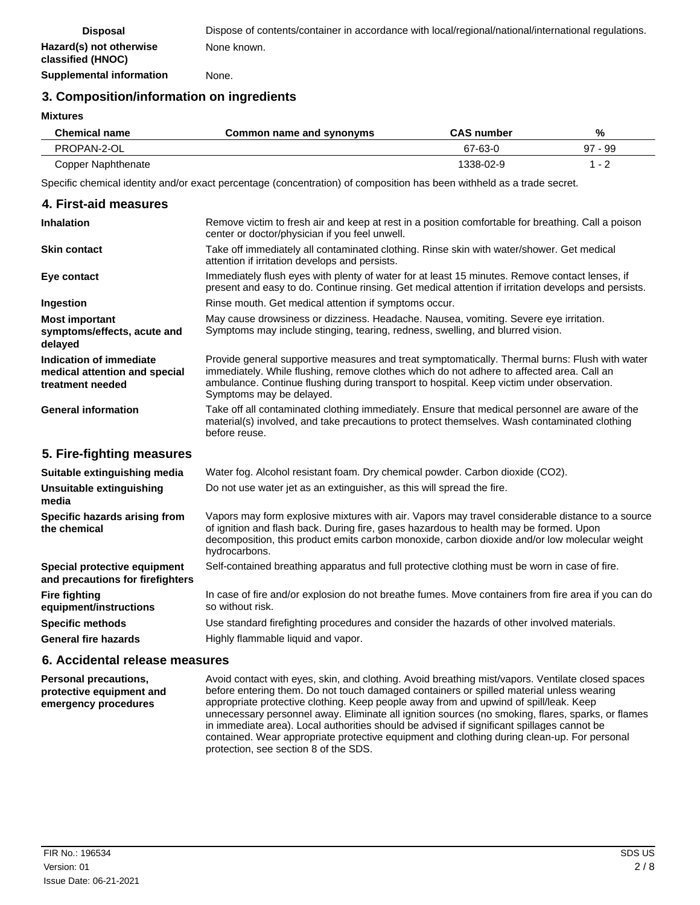**Supplemental information** None.

## **3. Composition/information on ingredients**

**Mixtures**

| <b>Chemical name</b> | Common name and synonyms | <b>CAS number</b> | %         |
|----------------------|--------------------------|-------------------|-----------|
| PROPAN-2-OL          |                          | 67-63-0           | $97 - 99$ |
| Copper Naphthenate   |                          | 1338-02-9         | 1 - 2     |

Specific chemical identity and/or exact percentage (concentration) of composition has been withheld as a trade secret.

| 4. First-aid measures                                                                                                                           |                                                                                                                                                                                                                                                                                                                      |
|-------------------------------------------------------------------------------------------------------------------------------------------------|----------------------------------------------------------------------------------------------------------------------------------------------------------------------------------------------------------------------------------------------------------------------------------------------------------------------|
|                                                                                                                                                 |                                                                                                                                                                                                                                                                                                                      |
| <b>Inhalation</b>                                                                                                                               | Remove victim to fresh air and keep at rest in a position comfortable for breathing. Call a poison<br>center or doctor/physician if you feel unwell.                                                                                                                                                                 |
| <b>Skin contact</b>                                                                                                                             | Take off immediately all contaminated clothing. Rinse skin with water/shower. Get medical<br>attention if irritation develops and persists.                                                                                                                                                                          |
| Eye contact                                                                                                                                     | Immediately flush eyes with plenty of water for at least 15 minutes. Remove contact lenses, if<br>present and easy to do. Continue rinsing. Get medical attention if irritation develops and persists.                                                                                                               |
| Ingestion                                                                                                                                       | Rinse mouth. Get medical attention if symptoms occur.                                                                                                                                                                                                                                                                |
| <b>Most important</b><br>symptoms/effects, acute and<br>delayed                                                                                 | May cause drowsiness or dizziness. Headache. Nausea, vomiting. Severe eye irritation.<br>Symptoms may include stinging, tearing, redness, swelling, and blurred vision.                                                                                                                                              |
| Indication of immediate<br>medical attention and special<br>treatment needed                                                                    | Provide general supportive measures and treat symptomatically. Thermal burns: Flush with water<br>immediately. While flushing, remove clothes which do not adhere to affected area. Call an<br>ambulance. Continue flushing during transport to hospital. Keep victim under observation.<br>Symptoms may be delayed. |
| <b>General information</b>                                                                                                                      | Take off all contaminated clothing immediately. Ensure that medical personnel are aware of the<br>material(s) involved, and take precautions to protect themselves. Wash contaminated clothing<br>before reuse.                                                                                                      |
| 5. Fire-fighting measures                                                                                                                       |                                                                                                                                                                                                                                                                                                                      |
| Suitable extinguishing media                                                                                                                    | Water fog. Alcohol resistant foam. Dry chemical powder. Carbon dioxide (CO2).                                                                                                                                                                                                                                        |
| Unsuitable extinguishing<br>media                                                                                                               | Do not use water jet as an extinguisher, as this will spread the fire.                                                                                                                                                                                                                                               |
| Specific hazards arising from<br>the chemical                                                                                                   | Vapors may form explosive mixtures with air. Vapors may travel considerable distance to a source<br>of ignition and flash back. During fire, gases hazardous to health may be formed. Upon<br>decomposition, this product emits carbon monoxide, carbon dioxide and/or low molecular weight<br>hydrocarbons.         |
| Special protective equipment<br>and precautions for firefighters                                                                                | Self-contained breathing apparatus and full protective clothing must be worn in case of fire.                                                                                                                                                                                                                        |
| <b>Fire fighting</b><br>equipment/instructions                                                                                                  | In case of fire and/or explosion do not breathe fumes. Move containers from fire area if you can do<br>so without risk.                                                                                                                                                                                              |
| <b>Specific methods</b>                                                                                                                         | Use standard firefighting procedures and consider the hazards of other involved materials.                                                                                                                                                                                                                           |
| <b>General fire hazards</b>                                                                                                                     | Highly flammable liquid and vapor.                                                                                                                                                                                                                                                                                   |
| $\bigwedge$ $\bigwedge$ $\bigwedge$ $\bigwedge$ $\bigwedge$ $\bigwedge$ $\bigwedge$ $\bigwedge$ $\bigwedge$ $\bigwedge$ $\bigwedge$ $\bigwedge$ |                                                                                                                                                                                                                                                                                                                      |

### **6. Accidental release measures**

Avoid contact with eyes, skin, and clothing. Avoid breathing mist/vapors. Ventilate closed spaces before entering them. Do not touch damaged containers or spilled material unless wearing appropriate protective clothing. Keep people away from and upwind of spill/leak. Keep unnecessary personnel away. Eliminate all ignition sources (no smoking, flares, sparks, or flames in immediate area). Local authorities should be advised if significant spillages cannot be contained. Wear appropriate protective equipment and clothing during clean-up. For personal protection, see section 8 of the SDS. **Personal precautions, protective equipment and emergency procedures**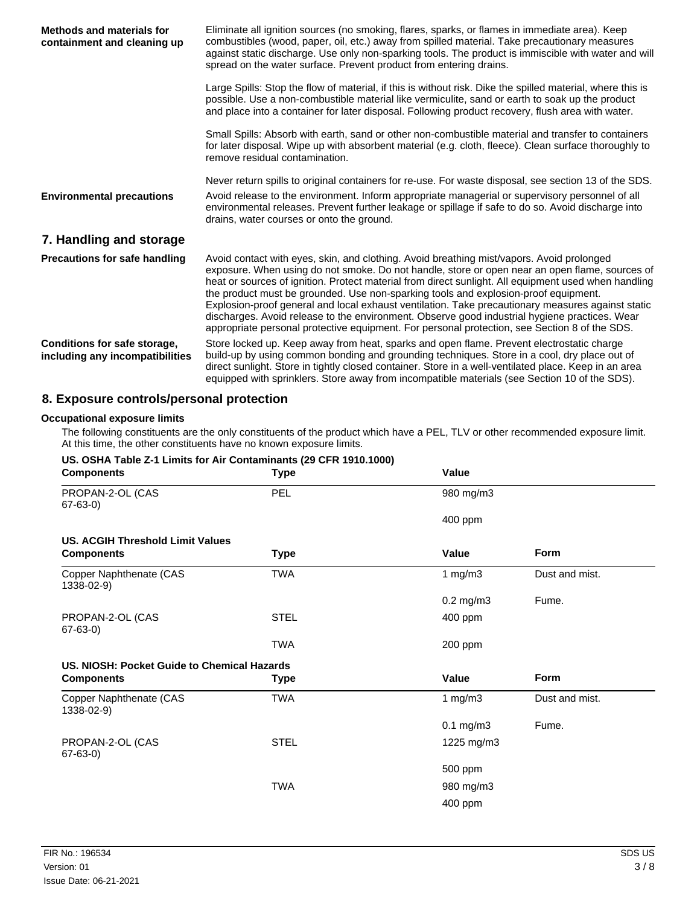| <b>Methods and materials for</b><br>containment and cleaning up | Eliminate all ignition sources (no smoking, flares, sparks, or flames in immediate area). Keep<br>combustibles (wood, paper, oil, etc.) away from spilled material. Take precautionary measures<br>against static discharge. Use only non-sparking tools. The product is immiscible with water and will<br>spread on the water surface. Prevent product from entering drains.                                                                                                                                                                                                                                                                                                                     |  |
|-----------------------------------------------------------------|---------------------------------------------------------------------------------------------------------------------------------------------------------------------------------------------------------------------------------------------------------------------------------------------------------------------------------------------------------------------------------------------------------------------------------------------------------------------------------------------------------------------------------------------------------------------------------------------------------------------------------------------------------------------------------------------------|--|
|                                                                 | Large Spills: Stop the flow of material, if this is without risk. Dike the spilled material, where this is<br>possible. Use a non-combustible material like vermiculite, sand or earth to soak up the product<br>and place into a container for later disposal. Following product recovery, flush area with water.                                                                                                                                                                                                                                                                                                                                                                                |  |
|                                                                 | Small Spills: Absorb with earth, sand or other non-combustible material and transfer to containers<br>for later disposal. Wipe up with absorbent material (e.g. cloth, fleece). Clean surface thoroughly to<br>remove residual contamination.                                                                                                                                                                                                                                                                                                                                                                                                                                                     |  |
| <b>Environmental precautions</b>                                | Never return spills to original containers for re-use. For waste disposal, see section 13 of the SDS.<br>Avoid release to the environment. Inform appropriate managerial or supervisory personnel of all<br>environmental releases. Prevent further leakage or spillage if safe to do so. Avoid discharge into<br>drains, water courses or onto the ground.                                                                                                                                                                                                                                                                                                                                       |  |
| 7. Handling and storage                                         |                                                                                                                                                                                                                                                                                                                                                                                                                                                                                                                                                                                                                                                                                                   |  |
| <b>Precautions for safe handling</b>                            | Avoid contact with eyes, skin, and clothing. Avoid breathing mist/vapors. Avoid prolonged<br>exposure. When using do not smoke. Do not handle, store or open near an open flame, sources of<br>heat or sources of ignition. Protect material from direct sunlight. All equipment used when handling<br>the product must be grounded. Use non-sparking tools and explosion-proof equipment.<br>Explosion-proof general and local exhaust ventilation. Take precautionary measures against static<br>discharges. Avoid release to the environment. Observe good industrial hygiene practices. Wear<br>appropriate personal protective equipment. For personal protection, see Section 8 of the SDS. |  |
| Conditions for safe storage,<br>including any incompatibilities | Store locked up. Keep away from heat, sparks and open flame. Prevent electrostatic charge<br>build-up by using common bonding and grounding techniques. Store in a cool, dry place out of<br>direct sunlight. Store in tightly closed container. Store in a well-ventilated place. Keep in an area<br>equipped with sprinklers. Store away from incompatible materials (see Section 10 of the SDS).                                                                                                                                                                                                                                                                                               |  |

# **8. Exposure controls/personal protection**

### **Occupational exposure limits**

The following constituents are the only constituents of the product which have a PEL, TLV or other recommended exposure limit. At this time, the other constituents have no known exposure limits.

### **US. OSHA Table Z-1 Limits for Air Contaminants (29 CFR 1910.1000)**

| <b>Components</b>                           | <b>Type</b> | Value          |                |
|---------------------------------------------|-------------|----------------|----------------|
| PROPAN-2-OL (CAS<br>$67-63-0$               | PEL         | 980 mg/m3      |                |
|                                             |             | 400 ppm        |                |
| <b>US. ACGIH Threshold Limit Values</b>     |             |                |                |
| <b>Components</b>                           | <b>Type</b> | Value          | <b>Form</b>    |
| Copper Naphthenate (CAS<br>1338-02-9)       | <b>TWA</b>  | 1 mg/m $3$     | Dust and mist. |
|                                             |             | $0.2$ mg/m $3$ | Fume.          |
| PROPAN-2-OL (CAS<br>$67-63-0$               | <b>STEL</b> | 400 ppm        |                |
|                                             | <b>TWA</b>  | 200 ppm        |                |
| US. NIOSH: Pocket Guide to Chemical Hazards |             |                |                |
| <b>Components</b>                           | <b>Type</b> | Value          | Form           |
| Copper Naphthenate (CAS<br>1338-02-9)       | <b>TWA</b>  | 1 $mg/m3$      | Dust and mist. |
|                                             |             | $0.1$ mg/m $3$ | Fume.          |
| PROPAN-2-OL (CAS<br>$67 - 63 - 0$           | <b>STEL</b> | 1225 mg/m3     |                |
|                                             |             | 500 ppm        |                |
|                                             | <b>TWA</b>  | 980 mg/m3      |                |
|                                             |             | 400 ppm        |                |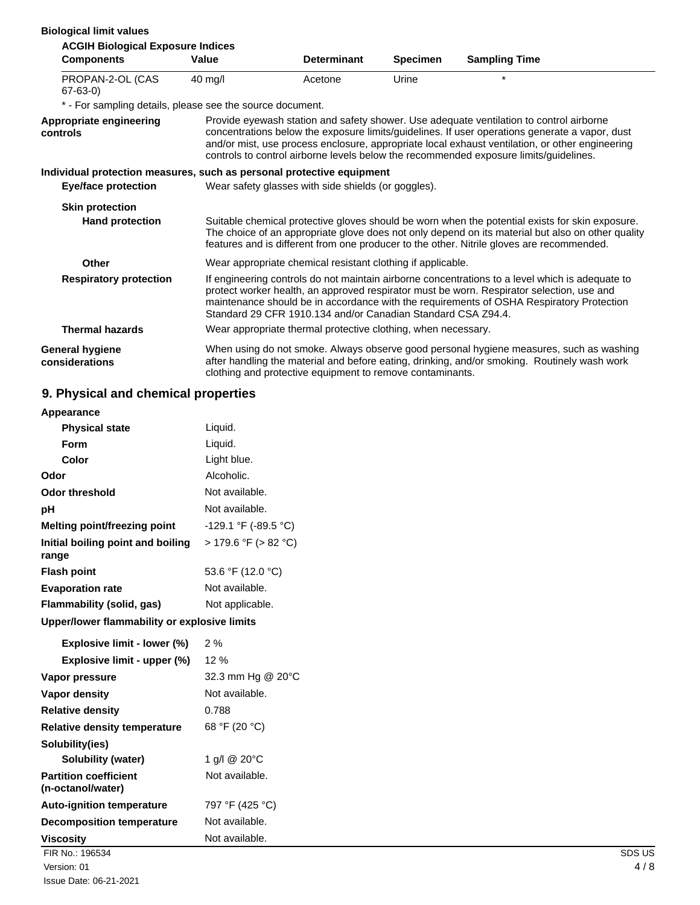| <b>Biological limit values</b>                                        |                                                                                                                                                                                                                                                                                                                                                          |                                                               |                 |                                                                                                                                                                                                                                                                                                                                                                                       |
|-----------------------------------------------------------------------|----------------------------------------------------------------------------------------------------------------------------------------------------------------------------------------------------------------------------------------------------------------------------------------------------------------------------------------------------------|---------------------------------------------------------------|-----------------|---------------------------------------------------------------------------------------------------------------------------------------------------------------------------------------------------------------------------------------------------------------------------------------------------------------------------------------------------------------------------------------|
| <b>ACGIH Biological Exposure Indices</b>                              |                                                                                                                                                                                                                                                                                                                                                          |                                                               |                 |                                                                                                                                                                                                                                                                                                                                                                                       |
| <b>Components</b>                                                     | Value                                                                                                                                                                                                                                                                                                                                                    | <b>Determinant</b>                                            | <b>Specimen</b> | <b>Sampling Time</b>                                                                                                                                                                                                                                                                                                                                                                  |
| PROPAN-2-OL (CAS<br>$67 - 63 - 0$                                     | $40 \text{ mg/l}$                                                                                                                                                                                                                                                                                                                                        | Acetone                                                       | Urine           | $\star$                                                                                                                                                                                                                                                                                                                                                                               |
| * - For sampling details, please see the source document.             |                                                                                                                                                                                                                                                                                                                                                          |                                                               |                 |                                                                                                                                                                                                                                                                                                                                                                                       |
| Appropriate engineering<br>controls                                   |                                                                                                                                                                                                                                                                                                                                                          |                                                               |                 | Provide eyewash station and safety shower. Use adequate ventilation to control airborne<br>concentrations below the exposure limits/guidelines. If user operations generate a vapor, dust<br>and/or mist, use process enclosure, appropriate local exhaust ventilation, or other engineering<br>controls to control airborne levels below the recommended exposure limits/guidelines. |
| Individual protection measures, such as personal protective equipment |                                                                                                                                                                                                                                                                                                                                                          |                                                               |                 |                                                                                                                                                                                                                                                                                                                                                                                       |
| <b>Eye/face protection</b>                                            |                                                                                                                                                                                                                                                                                                                                                          | Wear safety glasses with side shields (or goggles).           |                 |                                                                                                                                                                                                                                                                                                                                                                                       |
| <b>Skin protection</b>                                                |                                                                                                                                                                                                                                                                                                                                                          |                                                               |                 |                                                                                                                                                                                                                                                                                                                                                                                       |
| <b>Hand protection</b>                                                |                                                                                                                                                                                                                                                                                                                                                          |                                                               |                 | Suitable chemical protective gloves should be worn when the potential exists for skin exposure.<br>The choice of an appropriate glove does not only depend on its material but also on other quality<br>features and is different from one producer to the other. Nitrile gloves are recommended.                                                                                     |
| Other                                                                 | Wear appropriate chemical resistant clothing if applicable.                                                                                                                                                                                                                                                                                              |                                                               |                 |                                                                                                                                                                                                                                                                                                                                                                                       |
| <b>Respiratory protection</b>                                         | If engineering controls do not maintain airborne concentrations to a level which is adequate to<br>protect worker health, an approved respirator must be worn. Respirator selection, use and<br>maintenance should be in accordance with the requirements of OSHA Respiratory Protection<br>Standard 29 CFR 1910.134 and/or Canadian Standard CSA Z94.4. |                                                               |                 |                                                                                                                                                                                                                                                                                                                                                                                       |
| <b>Thermal hazards</b>                                                |                                                                                                                                                                                                                                                                                                                                                          | Wear appropriate thermal protective clothing, when necessary. |                 |                                                                                                                                                                                                                                                                                                                                                                                       |
| <b>General hygiene</b><br>considerations                              |                                                                                                                                                                                                                                                                                                                                                          | clothing and protective equipment to remove contaminants.     |                 | When using do not smoke. Always observe good personal hygiene measures, such as washing<br>after handling the material and before eating, drinking, and/or smoking. Routinely wash work                                                                                                                                                                                               |

# **9. Physical and chemical properties**

| Appearance                                        |                      |        |
|---------------------------------------------------|----------------------|--------|
| <b>Physical state</b>                             | Liquid.              |        |
| Form                                              | Liquid.              |        |
| Color                                             | Light blue.          |        |
| Odor                                              | Alcoholic.           |        |
| <b>Odor threshold</b>                             | Not available.       |        |
| pH                                                | Not available.       |        |
| Melting point/freezing point                      | -129.1 °F (-89.5 °C) |        |
| Initial boiling point and boiling<br>range        | > 179.6 °F (> 82 °C) |        |
| <b>Flash point</b>                                | 53.6 °F (12.0 °C)    |        |
| <b>Evaporation rate</b>                           | Not available.       |        |
| Flammability (solid, gas)                         | Not applicable.      |        |
| Upper/lower flammability or explosive limits      |                      |        |
| Explosive limit - lower (%)                       | 2%                   |        |
| Explosive limit - upper (%)                       | 12 %                 |        |
| Vapor pressure                                    | 32.3 mm Hg @ 20°C    |        |
| Vapor density                                     | Not available.       |        |
| <b>Relative density</b>                           | 0.788                |        |
| Relative density temperature                      | 68 °F (20 °C)        |        |
| Solubility(ies)                                   |                      |        |
| Solubility (water)                                | 1 g/l @ 20°C         |        |
| <b>Partition coefficient</b><br>(n-octanol/water) | Not available.       |        |
| <b>Auto-ignition temperature</b>                  | 797 °F (425 °C)      |        |
| <b>Decomposition temperature</b>                  | Not available.       |        |
| <b>Viscosity</b>                                  | Not available.       |        |
| FIR No.: 196534                                   |                      | SDS US |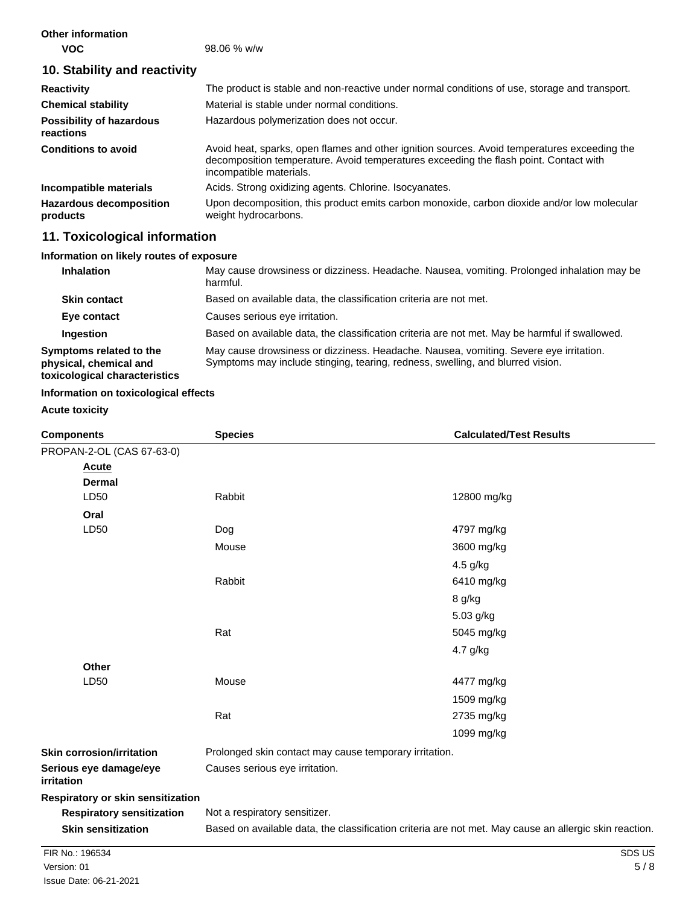| <b>Other information</b><br><b>VOC</b>       | $98.06 %$ w/w                                                                                                                                                                                                    |
|----------------------------------------------|------------------------------------------------------------------------------------------------------------------------------------------------------------------------------------------------------------------|
| 10. Stability and reactivity                 |                                                                                                                                                                                                                  |
| <b>Reactivity</b>                            | The product is stable and non-reactive under normal conditions of use, storage and transport.                                                                                                                    |
| <b>Chemical stability</b>                    | Material is stable under normal conditions.                                                                                                                                                                      |
| <b>Possibility of hazardous</b><br>reactions | Hazardous polymerization does not occur.                                                                                                                                                                         |
| <b>Conditions to avoid</b>                   | Avoid heat, sparks, open flames and other ignition sources. Avoid temperatures exceeding the<br>decomposition temperature. Avoid temperatures exceeding the flash point. Contact with<br>incompatible materials. |
| Incompatible materials                       | Acids. Strong oxidizing agents. Chlorine. Isocyanates.                                                                                                                                                           |
| <b>Hazardous decomposition</b><br>products   | Upon decomposition, this product emits carbon monoxide, carbon dioxide and/or low molecular<br>weight hydrocarbons.                                                                                              |

# **11. Toxicological information**

## **Information on likely routes of exposure**

| <b>Inhalation</b>                                                                  | May cause drowsiness or dizziness. Headache. Nausea, vomiting. Prolonged inhalation may be<br>harmful.                                                                  |
|------------------------------------------------------------------------------------|-------------------------------------------------------------------------------------------------------------------------------------------------------------------------|
| <b>Skin contact</b>                                                                | Based on available data, the classification criteria are not met.                                                                                                       |
| Eye contact                                                                        | Causes serious eye irritation.                                                                                                                                          |
| Ingestion                                                                          | Based on available data, the classification criteria are not met. May be harmful if swallowed.                                                                          |
| Symptoms related to the<br>physical, chemical and<br>toxicological characteristics | May cause drowsiness or dizziness. Headache. Nausea, vomiting. Severe eye irritation.<br>Symptoms may include stinging, tearing, redness, swelling, and blurred vision. |

### **Information on toxicological effects**

### **Acute toxicity**

| <b>Components</b>                    | <b>Species</b>                                         | <b>Calculated/Test Results</b>                                                                         |
|--------------------------------------|--------------------------------------------------------|--------------------------------------------------------------------------------------------------------|
| PROPAN-2-OL (CAS 67-63-0)            |                                                        |                                                                                                        |
| <b>Acute</b>                         |                                                        |                                                                                                        |
| <b>Dermal</b>                        |                                                        |                                                                                                        |
| LD50                                 | Rabbit                                                 | 12800 mg/kg                                                                                            |
| Oral                                 |                                                        |                                                                                                        |
| LD50                                 | Dog                                                    | 4797 mg/kg                                                                                             |
|                                      | Mouse                                                  | 3600 mg/kg                                                                                             |
|                                      |                                                        | 4.5 g/kg                                                                                               |
|                                      | Rabbit                                                 | 6410 mg/kg                                                                                             |
|                                      |                                                        | 8 g/kg                                                                                                 |
|                                      |                                                        | 5.03 g/kg                                                                                              |
|                                      | Rat                                                    | 5045 mg/kg                                                                                             |
|                                      |                                                        | 4.7 g/kg                                                                                               |
| Other                                |                                                        |                                                                                                        |
| LD50                                 | Mouse                                                  | 4477 mg/kg                                                                                             |
|                                      |                                                        | 1509 mg/kg                                                                                             |
|                                      | Rat                                                    | 2735 mg/kg                                                                                             |
|                                      |                                                        | 1099 mg/kg                                                                                             |
| <b>Skin corrosion/irritation</b>     | Prolonged skin contact may cause temporary irritation. |                                                                                                        |
| Serious eye damage/eye<br>irritation | Causes serious eye irritation.                         |                                                                                                        |
| Respiratory or skin sensitization    |                                                        |                                                                                                        |
| <b>Respiratory sensitization</b>     | Not a respiratory sensitizer.                          |                                                                                                        |
| <b>Skin sensitization</b>            |                                                        | Based on available data, the classification criteria are not met. May cause an allergic skin reaction. |
| FIR No.: 196534                      |                                                        | SDS US                                                                                                 |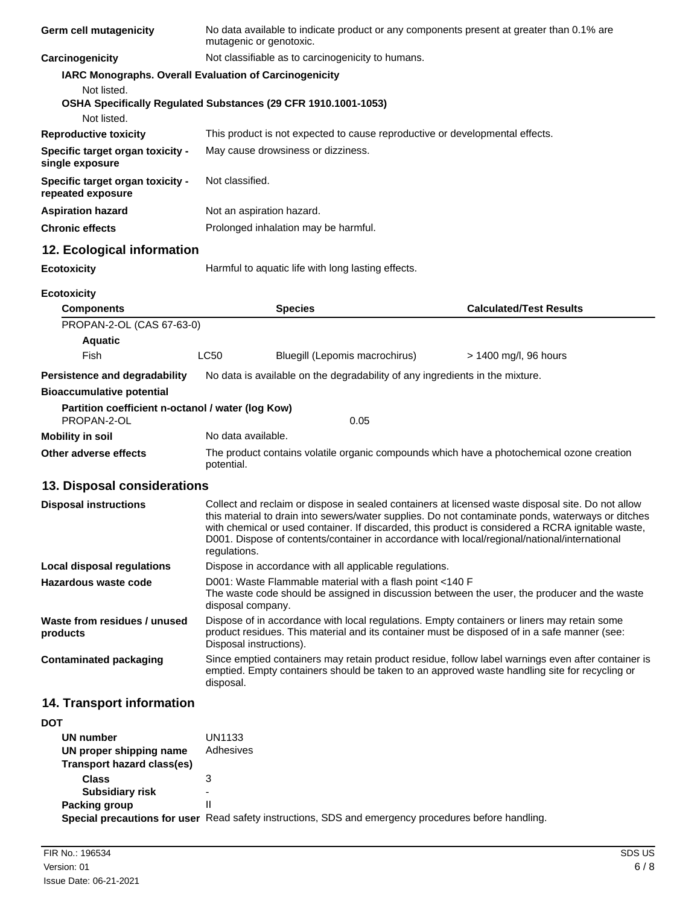| Germ cell mutagenicity                                           | No data available to indicate product or any components present at greater than 0.1% are<br>mutagenic or genotoxic. |                                                                                                                                                                                                                                                                                                                                                                                                             |  |
|------------------------------------------------------------------|---------------------------------------------------------------------------------------------------------------------|-------------------------------------------------------------------------------------------------------------------------------------------------------------------------------------------------------------------------------------------------------------------------------------------------------------------------------------------------------------------------------------------------------------|--|
| Carcinogenicity                                                  | Not classifiable as to carcinogenicity to humans.                                                                   |                                                                                                                                                                                                                                                                                                                                                                                                             |  |
|                                                                  | IARC Monographs. Overall Evaluation of Carcinogenicity                                                              |                                                                                                                                                                                                                                                                                                                                                                                                             |  |
| Not listed.<br>Not listed.                                       | OSHA Specifically Regulated Substances (29 CFR 1910.1001-1053)                                                      |                                                                                                                                                                                                                                                                                                                                                                                                             |  |
| <b>Reproductive toxicity</b>                                     | This product is not expected to cause reproductive or developmental effects.                                        |                                                                                                                                                                                                                                                                                                                                                                                                             |  |
| Specific target organ toxicity -<br>single exposure              | May cause drowsiness or dizziness.                                                                                  |                                                                                                                                                                                                                                                                                                                                                                                                             |  |
| Specific target organ toxicity -<br>repeated exposure            | Not classified.                                                                                                     |                                                                                                                                                                                                                                                                                                                                                                                                             |  |
| <b>Aspiration hazard</b>                                         | Not an aspiration hazard.                                                                                           |                                                                                                                                                                                                                                                                                                                                                                                                             |  |
| <b>Chronic effects</b>                                           | Prolonged inhalation may be harmful.                                                                                |                                                                                                                                                                                                                                                                                                                                                                                                             |  |
| 12. Ecological information                                       |                                                                                                                     |                                                                                                                                                                                                                                                                                                                                                                                                             |  |
| <b>Ecotoxicity</b>                                               | Harmful to aquatic life with long lasting effects.                                                                  |                                                                                                                                                                                                                                                                                                                                                                                                             |  |
|                                                                  |                                                                                                                     |                                                                                                                                                                                                                                                                                                                                                                                                             |  |
| <b>Ecotoxicity</b><br><b>Components</b>                          | <b>Species</b>                                                                                                      | <b>Calculated/Test Results</b>                                                                                                                                                                                                                                                                                                                                                                              |  |
| PROPAN-2-OL (CAS 67-63-0)                                        |                                                                                                                     |                                                                                                                                                                                                                                                                                                                                                                                                             |  |
| <b>Aquatic</b>                                                   |                                                                                                                     |                                                                                                                                                                                                                                                                                                                                                                                                             |  |
| <b>Fish</b>                                                      | LC50<br>Bluegill (Lepomis macrochirus)                                                                              | $> 1400$ mg/l, 96 hours                                                                                                                                                                                                                                                                                                                                                                                     |  |
| Persistence and degradability                                    | No data is available on the degradability of any ingredients in the mixture.                                        |                                                                                                                                                                                                                                                                                                                                                                                                             |  |
| <b>Bioaccumulative potential</b>                                 |                                                                                                                     |                                                                                                                                                                                                                                                                                                                                                                                                             |  |
| Partition coefficient n-octanol / water (log Kow)<br>PROPAN-2-OL | 0.05                                                                                                                |                                                                                                                                                                                                                                                                                                                                                                                                             |  |
| <b>Mobility in soil</b>                                          | No data available.                                                                                                  |                                                                                                                                                                                                                                                                                                                                                                                                             |  |
| Other adverse effects                                            | potential.                                                                                                          | The product contains volatile organic compounds which have a photochemical ozone creation                                                                                                                                                                                                                                                                                                                   |  |
| 13. Disposal considerations                                      |                                                                                                                     |                                                                                                                                                                                                                                                                                                                                                                                                             |  |
| <b>Disposal instructions</b>                                     | regulations.                                                                                                        | Collect and reclaim or dispose in sealed containers at licensed waste disposal site. Do not allow<br>this material to drain into sewers/water supplies. Do not contaminate ponds, waterways or ditches<br>with chemical or used container. If discarded, this product is considered a RCRA ignitable waste,<br>D001. Dispose of contents/container in accordance with local/regional/national/international |  |
| <b>Local disposal regulations</b>                                | Dispose in accordance with all applicable regulations.                                                              |                                                                                                                                                                                                                                                                                                                                                                                                             |  |
| Hazardous waste code                                             | D001: Waste Flammable material with a flash point <140 F<br>disposal company.                                       | The waste code should be assigned in discussion between the user, the producer and the waste                                                                                                                                                                                                                                                                                                                |  |
| Waste from residues / unused<br>products                         | Disposal instructions).                                                                                             | Dispose of in accordance with local regulations. Empty containers or liners may retain some<br>product residues. This material and its container must be disposed of in a safe manner (see:                                                                                                                                                                                                                 |  |
| <b>Contaminated packaging</b>                                    | disposal.                                                                                                           | Since emptied containers may retain product residue, follow label warnings even after container is<br>emptied. Empty containers should be taken to an approved waste handling site for recycling or                                                                                                                                                                                                         |  |
| 14. Transport information                                        |                                                                                                                     |                                                                                                                                                                                                                                                                                                                                                                                                             |  |
| <b>DOT</b>                                                       |                                                                                                                     |                                                                                                                                                                                                                                                                                                                                                                                                             |  |
| UN number                                                        | UN1133                                                                                                              |                                                                                                                                                                                                                                                                                                                                                                                                             |  |
| UN proper shipping name<br><b>Transport hazard class(es)</b>     | Adhesives                                                                                                           |                                                                                                                                                                                                                                                                                                                                                                                                             |  |
| <b>Class</b>                                                     | 3                                                                                                                   |                                                                                                                                                                                                                                                                                                                                                                                                             |  |
| <b>Subsidiary risk</b>                                           |                                                                                                                     |                                                                                                                                                                                                                                                                                                                                                                                                             |  |

**Subsidiary risk** - **Packing group Special precautions for user** Read safety instructions, SDS and emergency procedures before handling.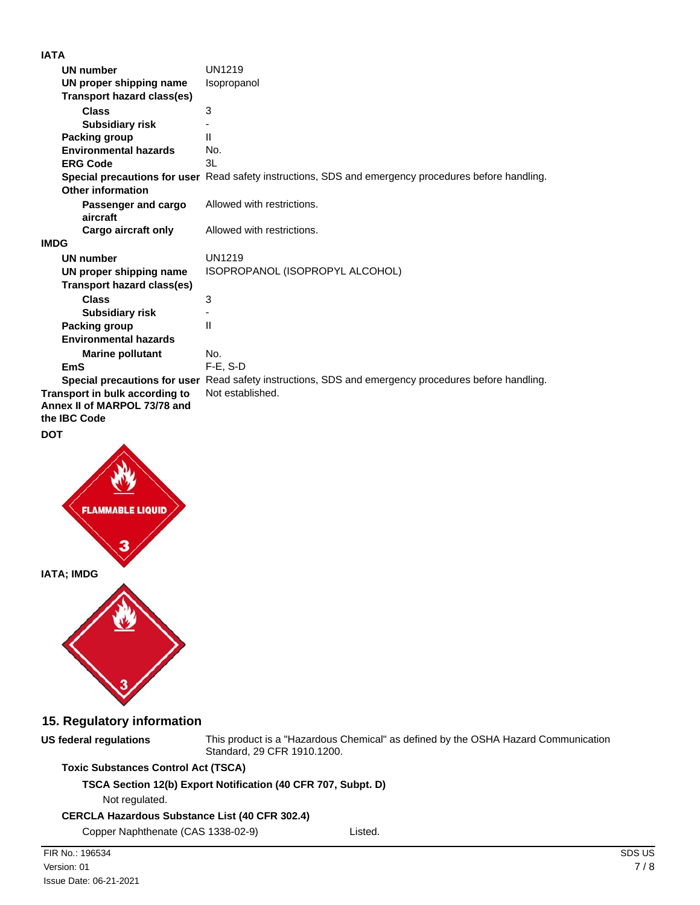| 18 I B                                                                         |                                                                                                      |
|--------------------------------------------------------------------------------|------------------------------------------------------------------------------------------------------|
| UN number                                                                      | UN1219                                                                                               |
| UN proper shipping name                                                        | Isopropanol                                                                                          |
| <b>Transport hazard class(es)</b>                                              |                                                                                                      |
| <b>Class</b>                                                                   | 3                                                                                                    |
| <b>Subsidiary risk</b>                                                         |                                                                                                      |
| Packing group                                                                  | $\mathsf{II}$                                                                                        |
| <b>Environmental hazards</b>                                                   | No.                                                                                                  |
| <b>ERG Code</b>                                                                | 3L                                                                                                   |
|                                                                                | Special precautions for user Read safety instructions, SDS and emergency procedures before handling. |
| Other information                                                              |                                                                                                      |
| Passenger and cargo<br>aircraft                                                | Allowed with restrictions.                                                                           |
| Cargo aircraft only                                                            | Allowed with restrictions.                                                                           |
| <b>IMDG</b>                                                                    |                                                                                                      |
| <b>UN number</b>                                                               | UN1219                                                                                               |
| UN proper shipping name                                                        | ISOPROPANOL (ISOPROPYL ALCOHOL)                                                                      |
| <b>Transport hazard class(es)</b>                                              |                                                                                                      |
| <b>Class</b>                                                                   | 3                                                                                                    |
| <b>Subsidiary risk</b>                                                         |                                                                                                      |
| Packing group                                                                  | $\mathsf{II}$                                                                                        |
| <b>Environmental hazards</b>                                                   |                                                                                                      |
| <b>Marine pollutant</b>                                                        | No.                                                                                                  |
| <b>EmS</b>                                                                     | $F-E. S-D$                                                                                           |
|                                                                                | Special precautions for user Read safety instructions, SDS and emergency procedures before handling. |
| Transport in bulk according to<br>Annex II of MARPOL 73/78 and<br>the IBC Code | Not established.                                                                                     |
|                                                                                |                                                                                                      |

### **DOT**



### **15. Regulatory information**

**US federal regulations**

This product is a "Hazardous Chemical" as defined by the OSHA Hazard Communication Standard, 29 CFR 1910.1200.

### **Toxic Substances Control Act (TSCA)**

**TSCA Section 12(b) Export Notification (40 CFR 707, Subpt. D)**

Not regulated.

### **CERCLA Hazardous Substance List (40 CFR 302.4)**

Copper Naphthenate (CAS 1338-02-9) Listed.